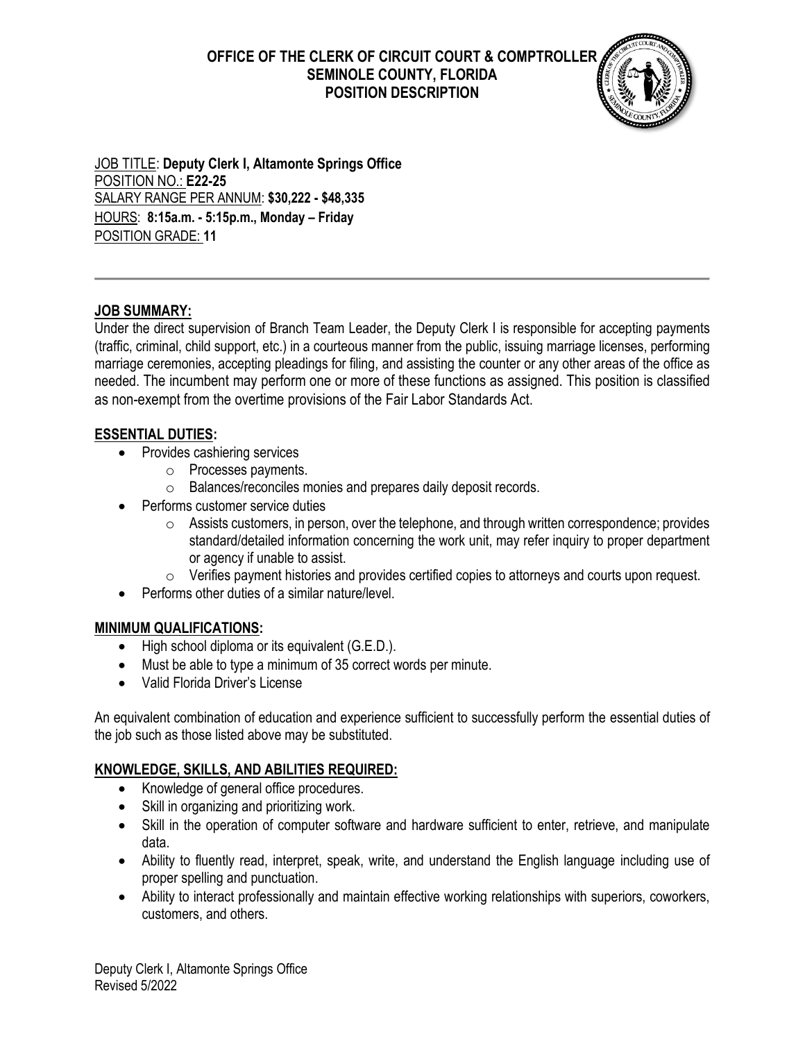**OFFICE OF THE CLERK OF CIRCUIT COURT & COMPTROLLER SEMINOLE COUNTY, FLORIDA POSITION DESCRIPTION**



JOB TITLE: **Deputy Clerk I, Altamonte Springs Office** POSITION NO.: **E22-25** SALARY RANGE PER ANNUM: **\$30,222 - \$48,335** HOURS: **8:15a.m. - 5:15p.m., Monday – Friday** POSITION GRADE: **11**

# **JOB SUMMARY:**

Under the direct supervision of Branch Team Leader, the Deputy Clerk I is responsible for accepting payments (traffic, criminal, child support, etc.) in a courteous manner from the public, issuing marriage licenses, performing marriage ceremonies, accepting pleadings for filing, and assisting the counter or any other areas of the office as needed. The incumbent may perform one or more of these functions as assigned. This position is classified as non-exempt from the overtime provisions of the Fair Labor Standards Act.

# **ESSENTIAL DUTIES:**

- Provides cashiering services
	- o Processes payments.
	- o Balances/reconciles monies and prepares daily deposit records.
- Performs customer service duties
	- $\circ$  Assists customers, in person, over the telephone, and through written correspondence; provides standard/detailed information concerning the work unit, may refer inquiry to proper department or agency if unable to assist.
	- $\circ$  Verifies payment histories and provides certified copies to attorneys and courts upon request.
- Performs other duties of a similar nature/level.

#### **MINIMUM QUALIFICATIONS:**

- High school diploma or its equivalent (G.E.D.).
- Must be able to type a minimum of 35 correct words per minute.
- Valid Florida Driver's License

An equivalent combination of education and experience sufficient to successfully perform the essential duties of the job such as those listed above may be substituted.

# **KNOWLEDGE, SKILLS, AND ABILITIES REQUIRED:**

- Knowledge of general office procedures.
- Skill in organizing and prioritizing work.
- Skill in the operation of computer software and hardware sufficient to enter, retrieve, and manipulate data.
- Ability to fluently read, interpret, speak, write, and understand the English language including use of proper spelling and punctuation.
- Ability to interact professionally and maintain effective working relationships with superiors, coworkers, customers, and others.

Deputy Clerk I, Altamonte Springs Office Revised 5/2022